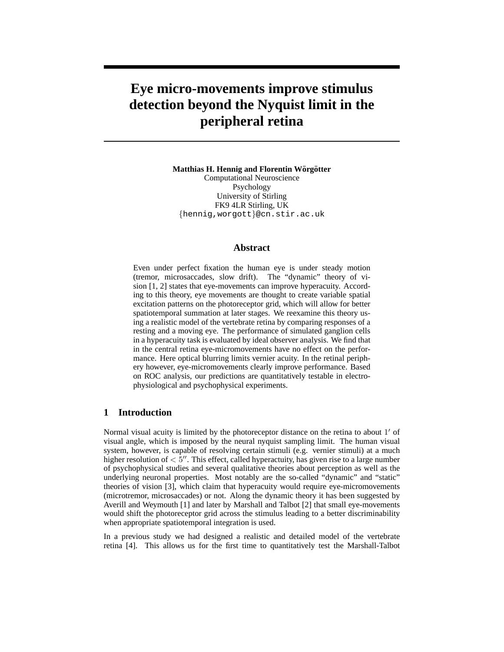# **Eye micro-movements improve stimulus detection beyond the Nyquist limit in the peripheral retina**

**Matthias H. Hennig and Florentin Wörgötter** Computational Neuroscience

Psychology University of Stirling FK9 4LR Stirling, UK {hennig,worgott}@cn.stir.ac.uk

#### **Abstract**

Even under perfect fixation the human eye is under steady motion (tremor, microsaccades, slow drift). The "dynamic" theory of vision [1, 2] states that eye-movements can improve hyperacuity. According to this theory, eye movements are thought to create variable spatial excitation patterns on the photoreceptor grid, which will allow for better spatiotemporal summation at later stages. We reexamine this theory using a realistic model of the vertebrate retina by comparing responses of a resting and a moving eye. The performance of simulated ganglion cells in a hyperacuity task is evaluated by ideal observer analysis. We find that in the central retina eye-micromovements have no effect on the performance. Here optical blurring limits vernier acuity. In the retinal periphery however, eye-micromovements clearly improve performance. Based on ROC analysis, our predictions are quantitatively testable in electrophysiological and psychophysical experiments.

#### **1 Introduction**

Normal visual acuity is limited by the photoreceptor distance on the retina to about 1' of visual angle, which is imposed by the neural nyquist sampling limit. The human visual system, however, is capable of resolving certain stimuli (e.g. vernier stimuli) at a much higher resolution of  $\langle 5^{\prime\prime}$ . This effect, called hyperactuity, has given rise to a large number of psychophysical studies and several qualitative theories about perception as well as the underlying neuronal properties. Most notably are the so-called "dynamic" and "static" theories of vision [3], which claim that hyperacuity would require eye-micromovements (microtremor, microsaccades) or not. Along the dynamic theory it has been suggested by Averill and Weymouth [1] and later by Marshall and Talbot [2] that small eye-movements would shift the photoreceptor grid across the stimulus leading to a better discriminability when appropriate spatiotemporal integration is used.

In a previous study we had designed a realistic and detailed model of the vertebrate retina [4]. This allows us for the first time to quantitatively test the Marshall-Talbot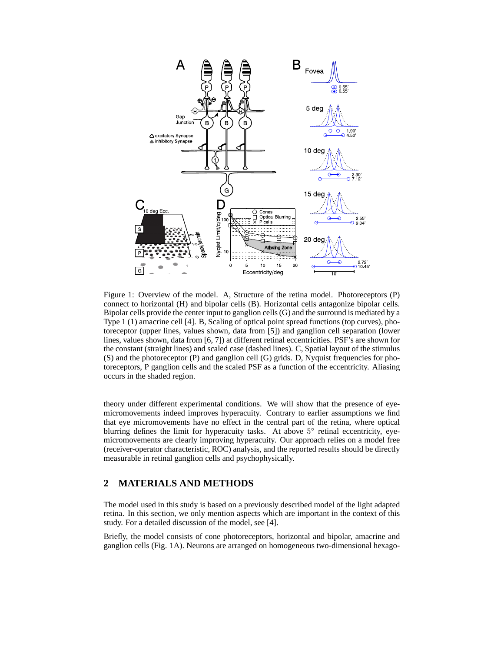

Figure 1: Overview of the model. A, Structure of the retina model. Photoreceptors (P) connect to horizontal (H) and bipolar cells (B). Horizontal cells antagonize bipolar cells. Bipolar cells provide the center input to ganglion cells (G) and the surround is mediated by a Type 1 (1) amacrine cell [4]. B, Scaling of optical point spread functions (top curves), photoreceptor (upper lines, values shown, data from [5]) and ganglion cell separation (lower lines, values shown, data from [6, 7]) at different retinal eccentricities. PSF's are shown for the constant (straight lines) and scaled case (dashed lines). C, Spatial layout of the stimulus (S) and the photoreceptor (P) and ganglion cell (G) grids. D, Nyquist frequencies for photoreceptors, P ganglion cells and the scaled PSF as a function of the eccentricity. Aliasing occurs in the shaded region.

theory under different experimental conditions. We will show that the presence of eyemicromovements indeed improves hyperacuity. Contrary to earlier assumptions we find that eye micromovements have no effect in the central part of the retina, where optical blurring defines the limit for hyperacuity tasks. At above 5° retinal eccentricity, eyemicromovements are clearly improving hyperacuity. Our approach relies on a model free (receiver-operator characteristic, ROC) analysis, and the reported results should be directly measurable in retinal ganglion cells and psychophysically.

## **2 MATERIALS AND METHODS**

The model used in this study is based on a previously described model of the light adapted retina. In this section, we only mention aspects which are important in the context of this study. For a detailed discussion of the model, see [4].

Briefly, the model consists of cone photoreceptors, horizontal and bipolar, amacrine and ganglion cells (Fig. 1A). Neurons are arranged on homogeneous two-dimensional hexago-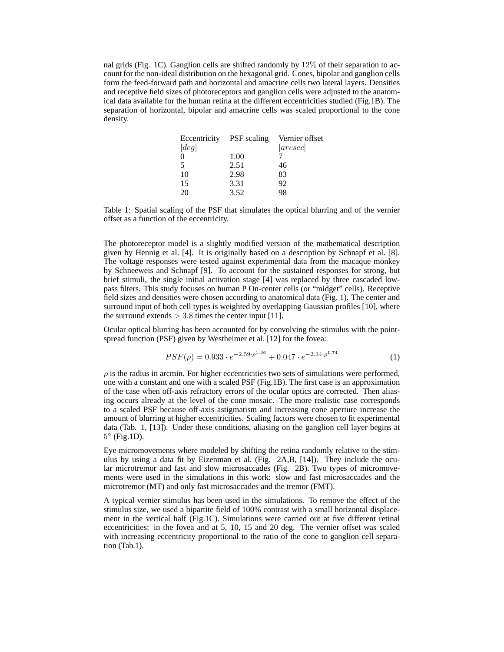nal grids (Fig. 1C). Ganglion cells are shifted randomly by  $12\%$  of their separation to account for the non-ideal distribution on the hexagonal grid. Cones, bipolar and ganglion cells form the feed-forward path and horizontal and amacrine cells two lateral layers. Densities and receptive field sizes of photoreceptors and ganglion cells were adjusted to the anatomical data available for the human retina at the different eccentricities studied (Fig.1B). The separation of horizontal, bipolar and amacrine cells was scaled proportional to the cone density.

| Eccentricity PSF scaling |      | Vernier offset |
|--------------------------|------|----------------|
| [deg]                    |      | [arcsec]       |
| $\theta$                 | 1.00 |                |
| $\overline{\phantom{1}}$ | 2.51 | 46             |
| 10                       | 2.98 | 83             |
| 15                       | 3.31 | 92             |
| 20                       | 3.52 | 98             |

Table 1: Spatial scaling of the PSF that simulates the optical blurring and of the vernier offset as a function of the eccentricity.

The photoreceptor model is a slightly modified version of the mathematical description given by Hennig et al. [4]. It is originally based on a description by Schnapf et al. [8]. The voltage responses were tested against experimental data from the macaque monkey by Schneeweis and Schnapf [9]. To account for the sustained responses for strong, but brief stimuli, the single initial activation stage [4] was replaced by three cascaded lowpass filters. This study focuses on human P On-center cells (or "midget" cells). Receptive field sizes and densities were chosen according to anatomical data (Fig. 1). The center and surround input of both cell types is weighted by overlapping Gaussian profiles [10], where the surround extends  $> 3.8$  times the center input [11].

Ocular optical blurring has been accounted for by convolving the stimulus with the pointspread function (PSF) given by Westheimer et al. [12] for the fovea:

$$
PSF(\rho) = 0.933 \cdot e^{-2.59 \cdot \rho^{1.36}} + 0.047 \cdot e^{-2.34 \cdot \rho^{1.74}} \tag{1}
$$

 $\rho$  is the radius in arcmin. For higher eccentricities two sets of simulations were performed, one with a constant and one with a scaled PSF (Fig.1B). The first case is an approximation of the case when off-axis refractory errors of the ocular optics are corrected. Then aliasing occurs already at the level of the cone mosaic. The more realistic case corresponds to a scaled PSF because off-axis astigmatism and increasing cone aperture increase the amount of blurring at higher eccentricities. Scaling factors were chosen to fit experimental data (Tab. 1, [13]). Under these conditions, aliasing on the ganglion cell layer begins at 5 ◦ (Fig.1D).

Eye micromovements where modeled by shifting the retina randomly relative to the stimulus by using a data fit by Eizenman et al. (Fig. 2A,B, [14]). They include the ocular microtremor and fast and slow microsaccades (Fig. 2B). Two types of micromovements were used in the simulations in this work: slow and fast microsaccades and the microtremor (MT) and only fast microsaccades and the tremor (FMT).

A typical vernier stimulus has been used in the simulations. To remove the effect of the stimulus size, we used a bipartite field of 100% contrast with a small horizontal displacement in the vertical half (Fig.1C). Simulations were carried out at five different retinal eccentricities: in the fovea and at 5, 10, 15 and 20 deg. The vernier offset was scaled with increasing eccentricity proportional to the ratio of the cone to ganglion cell separation (Tab.1).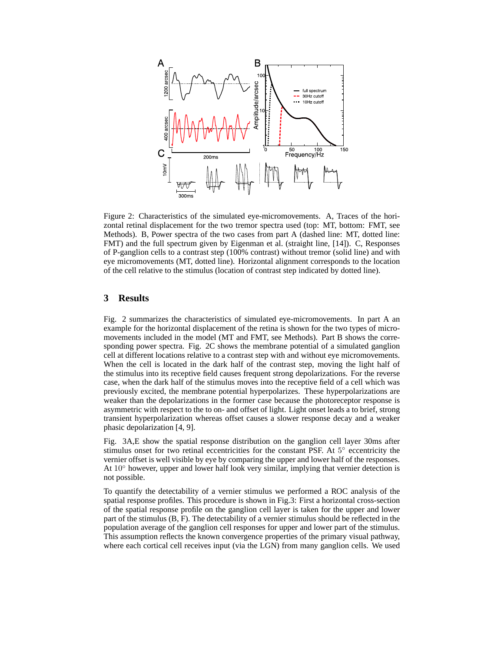

Figure 2: Characteristics of the simulated eye-micromovements. A, Traces of the horizontal retinal displacement for the two tremor spectra used (top: MT, bottom: FMT, see Methods). B, Power spectra of the two cases from part A (dashed line: MT, dotted line: FMT) and the full spectrum given by Eigenman et al. (straight line, [14]). C, Responses of P-ganglion cells to a contrast step (100% contrast) without tremor (solid line) and with eye micromovements (MT, dotted line). Horizontal alignment corresponds to the location of the cell relative to the stimulus (location of contrast step indicated by dotted line).

## **3 Results**

Fig. 2 summarizes the characteristics of simulated eye-micromovements. In part A an example for the horizontal displacement of the retina is shown for the two types of micromovements included in the model (MT and FMT, see Methods). Part B shows the corresponding power spectra. Fig. 2C shows the membrane potential of a simulated ganglion cell at different locations relative to a contrast step with and without eye micromovements. When the cell is located in the dark half of the contrast step, moving the light half of the stimulus into its receptive field causes frequent strong depolarizations. For the reverse case, when the dark half of the stimulus moves into the receptive field of a cell which was previously excited, the membrane potential hyperpolarizes. These hyperpolarizations are weaker than the depolarizations in the former case because the photoreceptor response is asymmetric with respect to the to on- and offset of light. Light onset leads a to brief, strong transient hyperpolarization whereas offset causes a slower response decay and a weaker phasic depolarization [4, 9].

Fig. 3A,E show the spatial response distribution on the ganglion cell layer 30ms after stimulus onset for two retinal eccentricities for the constant PSF. At 5° eccentricity the vernier offset is well visible by eye by comparing the upper and lower half of the responses. At  $10^\circ$  however, upper and lower half look very similar, implying that vernier detection is not possible.

To quantify the detectability of a vernier stimulus we performed a ROC analysis of the spatial response profiles. This procedure is shown in Fig.3: First a horizontal cross-section of the spatial response profile on the ganglion cell layer is taken for the upper and lower part of the stimulus (B, F). The detectability of a vernier stimulus should be reflected in the population average of the ganglion cell responses for upper and lower part of the stimulus. This assumption reflects the known convergence properties of the primary visual pathway, where each cortical cell receives input (via the LGN) from many ganglion cells. We used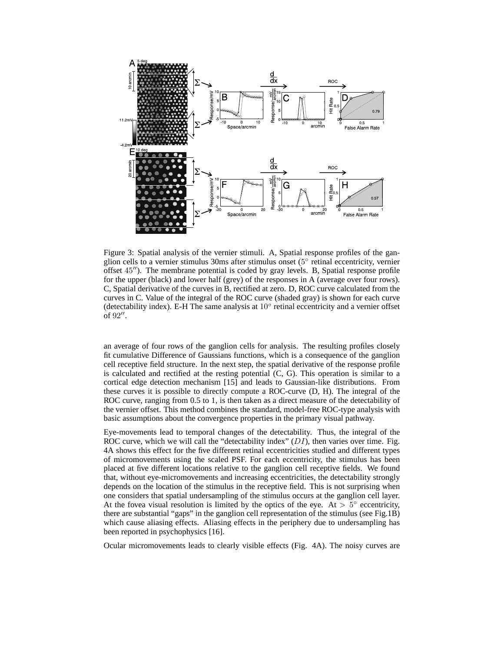

Figure 3: Spatial analysis of the vernier stimuli. A, Spatial response profiles of the ganglion cells to a vernier stimulus 30ms after stimulus onset (5° retinal eccentricity, vernier offset 45"). The membrane potential is coded by gray levels. B, Spatial response profile for the upper (black) and lower half (grey) of the responses in A (average over four rows). C, Spatial derivative of the curves in B, rectified at zero. D, ROC curve calculated from the curves in C. Value of the integral of the ROC curve (shaded gray) is shown for each curve (detectability index). E-H The same analysis at 10◦ retinal eccentricity and a vernier offset of  $92''$ .

an average of four rows of the ganglion cells for analysis. The resulting profiles closely fit cumulative Difference of Gaussians functions, which is a consequence of the ganglion cell receptive field structure. In the next step, the spatial derivative of the response profile is calculated and rectified at the resting potential (C, G). This operation is similar to a cortical edge detection mechanism [15] and leads to Gaussian-like distributions. From these curves it is possible to directly compute a ROC-curve (D, H). The integral of the ROC curve, ranging from 0.5 to 1, is then taken as a direct measure of the detectability of the vernier offset. This method combines the standard, model-free ROC-type analysis with basic assumptions about the convergence properties in the primary visual pathway.

Eye-movements lead to temporal changes of the detectability. Thus, the integral of the ROC curve, which we will call the "detectability index"  $(DI)$ , then varies over time. Fig. 4A shows this effect for the five different retinal eccentricities studied and different types of micromovements using the scaled PSF. For each eccentricity, the stimulus has been placed at five different locations relative to the ganglion cell receptive fields. We found that, without eye-micromovements and increasing eccentricities, the detectability strongly depends on the location of the stimulus in the receptive field. This is not surprising when one considers that spatial undersampling of the stimulus occurs at the ganglion cell layer. At the fovea visual resolution is limited by the optics of the eye. At  $> 5^{\circ}$  eccentricity, there are substantial "gaps" in the ganglion cell representation of the stimulus (see Fig.1B) which cause aliasing effects. Aliasing effects in the periphery due to undersampling has been reported in psychophysics [16].

Ocular micromovements leads to clearly visible effects (Fig. 4A). The noisy curves are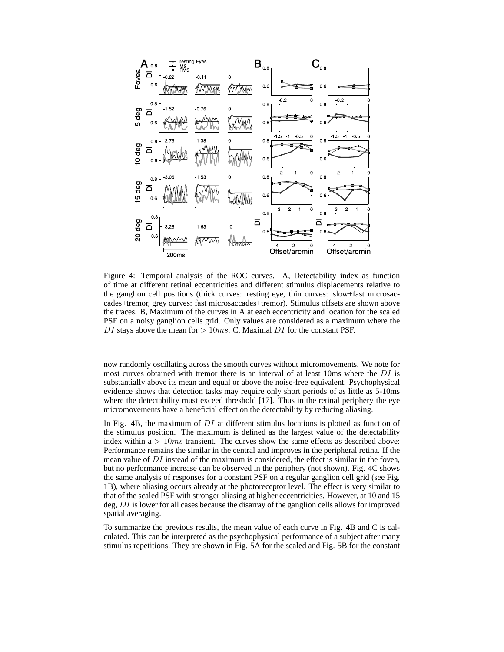

Figure 4: Temporal analysis of the ROC curves. A, Detectability index as function of time at different retinal eccentricities and different stimulus displacements relative to the ganglion cell positions (thick curves: resting eye, thin curves: slow+fast microsaccades+tremor, grey curves: fast microsaccades+tremor). Stimulus offsets are shown above the traces. B, Maximum of the curves in A at each eccentricity and location for the scaled PSF on a noisy ganglion cells grid. Only values are considered as a maximum where the DI stays above the mean for  $> 10ms$ . C, Maximal DI for the constant PSF.

now randomly oscillating across the smooth curves without micromovements. We note for most curves obtained with tremor there is an interval of at least 10ms where the  $DI$  is substantially above its mean and equal or above the noise-free equivalent. Psychophysical evidence shows that detection tasks may require only short periods of as little as 5-10ms where the detectability must exceed threshold [17]. Thus in the retinal periphery the eye micromovements have a beneficial effect on the detectability by reducing aliasing.

In Fig. 4B, the maximum of  $DI$  at different stimulus locations is plotted as function of the stimulus position. The maximum is defined as the largest value of the detectability index within  $a > 10ms$  transient. The curves show the same effects as described above: Performance remains the similar in the central and improves in the peripheral retina. If the mean value of  $DI$  instead of the maximum is considered, the effect is similar in the fovea, but no performance increase can be observed in the periphery (not shown). Fig. 4C shows the same analysis of responses for a constant PSF on a regular ganglion cell grid (see Fig. 1B), where aliasing occurs already at the photoreceptor level. The effect is very similar to that of the scaled PSF with stronger aliasing at higher eccentricities. However, at 10 and 15 deg, DI is lower for all cases because the disarray of the ganglion cells allows for improved spatial averaging.

To summarize the previous results, the mean value of each curve in Fig. 4B and C is calculated. This can be interpreted as the psychophysical performance of a subject after many stimulus repetitions. They are shown in Fig. 5A for the scaled and Fig. 5B for the constant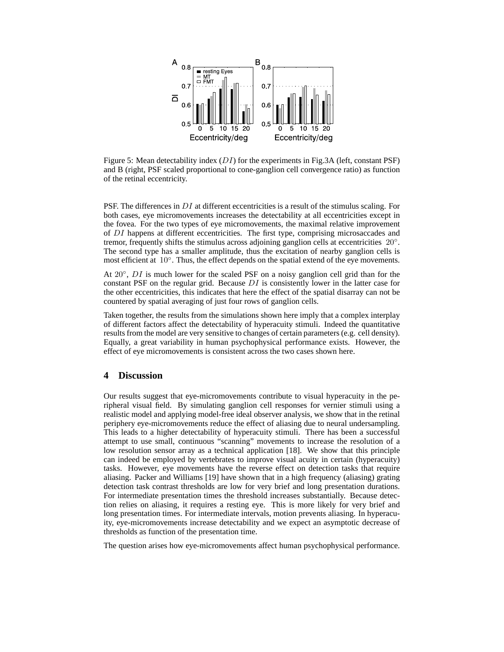

Figure 5: Mean detectability index  $(DI)$  for the experiments in Fig.3A (left, constant PSF) and B (right, PSF scaled proportional to cone-ganglion cell convergence ratio) as function of the retinal eccentricity.

PSF. The differences in DI at different eccentricities is a result of the stimulus scaling. For both cases, eye micromovements increases the detectability at all eccentricities except in the fovea. For the two types of eye micromovements, the maximal relative improvement of DI happens at different eccentricities. The first type, comprising microsaccades and tremor, frequently shifts the stimulus across adjoining ganglion cells at eccentricities 20°. The second type has a smaller amplitude, thus the excitation of nearby ganglion cells is most efficient at 10°. Thus, the effect depends on the spatial extend of the eye movements.

At  $20^\circ$ , DI is much lower for the scaled PSF on a noisy ganglion cell grid than for the constant PSF on the regular grid. Because  $DI$  is consistently lower in the latter case for the other eccentricities, this indicates that here the effect of the spatial disarray can not be countered by spatial averaging of just four rows of ganglion cells.

Taken together, the results from the simulations shown here imply that a complex interplay of different factors affect the detectability of hyperacuity stimuli. Indeed the quantitative results from the model are very sensitive to changes of certain parameters (e.g. cell density). Equally, a great variability in human psychophysical performance exists. However, the effect of eye micromovements is consistent across the two cases shown here.

### **4 Discussion**

Our results suggest that eye-micromovements contribute to visual hyperacuity in the peripheral visual field. By simulating ganglion cell responses for vernier stimuli using a realistic model and applying model-free ideal observer analysis, we show that in the retinal periphery eye-micromovements reduce the effect of aliasing due to neural undersampling. This leads to a higher detectability of hyperacuity stimuli. There has been a successful attempt to use small, continuous "scanning" movements to increase the resolution of a low resolution sensor array as a technical application [18]. We show that this principle can indeed be employed by vertebrates to improve visual acuity in certain (hyperacuity) tasks. However, eye movements have the reverse effect on detection tasks that require aliasing. Packer and Williams [19] have shown that in a high frequency (aliasing) grating detection task contrast thresholds are low for very brief and long presentation durations. For intermediate presentation times the threshold increases substantially. Because detection relies on aliasing, it requires a resting eye. This is more likely for very brief and long presentation times. For intermediate intervals, motion prevents aliasing. In hyperacuity, eye-micromovements increase detectability and we expect an asymptotic decrease of thresholds as function of the presentation time.

The question arises how eye-micromovements affect human psychophysical performance.